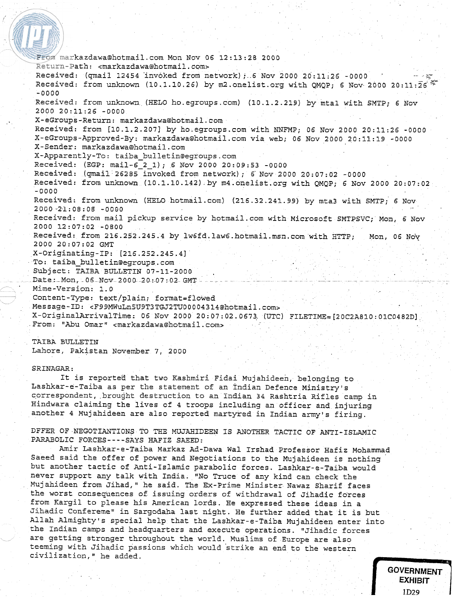From markazdawa@hotmail.com Mon Nov 06 12:13:2B 2000 Return-Path: cmarkazdawa@hotmail.com~ Received: (qmail 12454 invoked from network); 6 Nov 2000 20:11:26 -0000 Received: from unknown (10.1.10.26) by m2.onelist.org with QMQP; 6 Nov 2000 20:11:26" -0000 Received: from unknown (HELO ho.egroups.com) (10.1.2.219) by mtal with SMTP; 6 Nov 2000 20:11:26 -0000 X-eGroups-Return: markazdawa@hotrnail.com Received: from [10.1.2.2071 by ho.egroups.com with NNFMP; 06 Nov 2000 20:11:26 -0000 X-eGroups-Approved-By: markazdawa@hotmail.com via web; 06 Nov 2000 20:11:19 -0000 X-Sender: markazdawa@hotmail.com X-Apparently-To: taiba-bulletin@egroups.com Received: (EGP: mail-6-2-1); 6 Nov 2000 20:09:53 -0000 Received: (qmail 26285 invoked from network); 6'Nov 2000 20:07:02 -0000 Received: from unknown (10.1.10.142) by m4.onelist.org with QMQP; 6 Nov 2000 20:07:02 -0000 Received: from unknown (HELO hotmail.com) (216.32.241.99) by mta3 with SMTP; 6 Nov 20'20 .2,1: 08 : 08 -0000 Received: from mail pickup service by hotmail.com with Microsoft SMTPSVC; Mon, 6 Nov 2000 12:07:02 -0800 Received: from 216.252.245.4 by **lw6fd.law6.hotmail.msn.com** with HTTP; Mon, 06 Nov 2000 20:07:02 GMT X-Originating-IP: [216.252.245.4] To: taiba-bulletin@egroups.com Subject: TAIBA BULLETIN 07-11-2000 Date: Mon, 06 Nov 2000 20: 07: 02 GMT Mime-Version: 1.0 ontent-Type: text/plain; format=flowed Message-ID: **~F99MWuLn5U9T3TGJ2TUOOOO4314ehotmail.com~**  X-OriginalArrivalTime: 06 Nov 2000 20:07:02.0673. **(UTC)** FILETIME=[20C2A810:01C0482D] From: "Abu Omar" <markazdawa@hotmail.com>

TAIBA BULLETIN Lahore, Pakistan November **7,** 2000

## SRINAGAR :

**<sup>L</sup>**-

It is reported that two Kashmiri Fidai Mujahideen, belonging to Lashkar-e-Taiba as per the statement of an Indian Defence Ministry's correspondent, brought destruction to an Indian 34 Rashtria Rifles camp in Hindwara claiming the lives of 4 troops including an officer and injuring another 4 Mujahideen are also reported martyred in Indian army's firing.

DFFER OF NEGOTIANTIONS TO THE MUJAHIDEEN IS ANOTHER TACTIC **OF** ANTI-ISLAMIC PARABOLIC FORCES----SAYS HAFIZ SAEED:

Amir Lashkar-e-Taiba Markaz Ad-Dawa Wal Irshad Professor Hafiz Mohammad Saeed said the offer of power and Negotiations to the Mujahideen is nothing but another tactic of Anti-Islamic parabolic forces. Lashkar-e-Taiba would never support any talk with India. "No Truce of any kind can check the Mujahideen from Jihad," he said. The Ex-Prime Minister Nawaz Sharif faces the worst consequences of issuing orders of withdrawal of Jihadic forces from Kargil to please his American lords. He expressed these ideas in a Jihadic Confereme" in Sargodaha last night. He further added that it is but Allah Almighty's special help that the Lashkar-e-Taiba Mujahideen enter into the Indian camps and headquarters and execute operations. "Jihadic forces are getting stronger throughout the world. Muslims of Europe are also teeming with Jihadic passions which would strike an end to the western civilization," he added.

> GOVERNMENT ЕХНІВІТ 1D29